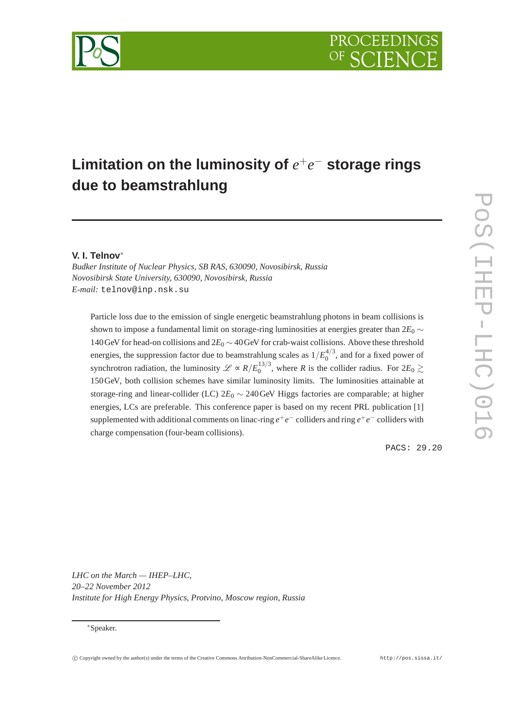

# **Limitation on the luminosity of**  $e^+e^-$  storage rings **due to beamstrahlung**

## **V. I. Telnov**∗

*Budker Institute of Nuclear Physics, SB RAS, 630090, Novosibirsk, Russia Novosibirsk State University, 630090, Novosibirsk, Russia E-mail:* telnov@inp.nsk.su

Particle loss due to the emission of single energetic beamstrahlung photons in beam collisions is shown to impose a fundamental limit on storage-ring luminosities at energies greater than  $2E_0 \sim$ 140GeV for head-on collisions and 2*E*<sup>0</sup> ∼ 40GeV for crab-waist collisions. Above these threshold energies, the suppression factor due to beamstrahlung scales as  $1/E_0^{4/3}$  $_0^{4/5}$ , and for a fixed power of synchrotron radiation, the luminosity  $\mathscr{L} \propto R/E_0^{13/3}$  $\frac{15}{2}$ , where *R* is the collider radius. For  $2E_0 \gtrsim$ 150GeV, both collision schemes have similar luminosity limits. The luminosities attainable at storage-ring and linear-collider (LC) 2*E*<sup>0</sup> ∼ 240GeV Higgs factories are comparable; at higher energies, LCs are preferable. This conference paper is based on my recent PRL publication [1] supplemented with additional comments on linac-ring  $e^+e^-$  colliders and ring  $e^+e^-$  colliders with charge compensation (four-beam collisions).

PACS: 29.20

*LHC on the March — IHEP–LHC, 20–22 November 2012 Institute for High Energy Physics, Protvino, Moscow region, Russia*

<sup>∗</sup>Speaker.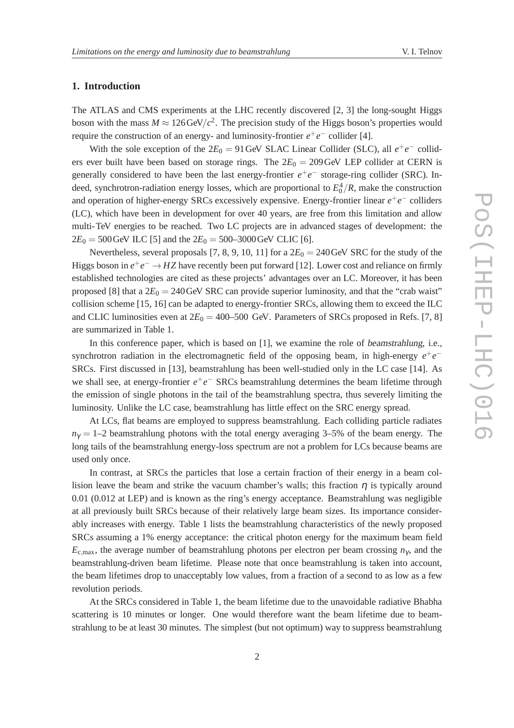## **1. Introduction**

The ATLAS and CMS experiments at the LHC recently discovered [2, 3] the long-sought Higgs boson with the mass  $M \approx 126 \text{GeV}/c^2$ . The precision study of the Higgs boson's properties would require the construction of an energy- and luminosity-frontier  $e^+e^-$  collider [4].

With the sole exception of the  $2E_0 = 91$  GeV SLAC Linear Collider (SLC), all  $e^+e^-$  colliders ever built have been based on storage rings. The  $2E_0 = 209 \text{ GeV}$  LEP collider at CERN is generally considered to have been the last energy-frontier  $e^+e^-$  storage-ring collider (SRC). Indeed, synchrotron-radiation energy losses, which are proportional to  $E_0^4/R$ , make the construction and operation of higher-energy SRCs excessively expensive. Energy-frontier linear  $e^+e^-$  colliders (LC), which have been in development for over 40 years, are free from this limitation and allow multi-TeV energies to be reached. Two LC projects are in advanced stages of development: the  $2E_0 = 500 \,\text{GeV}$  ILC [5] and the  $2E_0 = 500-3000 \,\text{GeV}$  CLIC [6].

Nevertheless, several proposals [7, 8, 9, 10, 11] for a  $2E_0 = 240 \text{GeV}$  SRC for the study of the Higgs boson in  $e^+e^- \to HZ$  have recently been put forward [12]. Lower cost and reliance on firmly established technologies are cited as these projects' advantages over an LC. Moreover, it has been proposed [8] that a  $2E_0 = 240 \text{ GeV}$  SRC can provide superior luminosity, and that the "crab waist" collision scheme [15, 16] can be adapted to energy-frontier SRCs, allowing them to exceed the ILC and CLIC luminosities even at  $2E_0 = 400-500$  GeV. Parameters of SRCs proposed in Refs. [7, 8] are summarized in Table 1.

In this conference paper, which is based on [1], we examine the role of beamstrahlung, i.e., synchrotron radiation in the electromagnetic field of the opposing beam, in high-energy  $e^+e^-$ SRCs. First discussed in [13], beamstrahlung has been well-studied only in the LC case [14]. As we shall see, at energy-frontier  $e^+e^-$  SRCs beamstrahlung determines the beam lifetime through the emission of single photons in the tail of the beamstrahlung spectra, thus severely limiting the luminosity. Unlike the LC case, beamstrahlung has little effect on the SRC energy spread.

At LCs, flat beams are employed to suppress beamstrahlung. Each colliding particle radiates  $n<sub>y</sub> = 1-2$  beamstrahlung photons with the total energy averaging 3–5% of the beam energy. The long tails of the beamstrahlung energy-loss spectrum are not a problem for LCs because beams are used only once.

In contrast, at SRCs the particles that lose a certain fraction of their energy in a beam collision leave the beam and strike the vacuum chamber's walls; this fraction  $\eta$  is typically around 0.01 (0.012 at LEP) and is known as the ring's energy acceptance. Beamstrahlung was negligible at all previously built SRCs because of their relatively large beam sizes. Its importance considerably increases with energy. Table 1 lists the beamstrahlung characteristics of the newly proposed SRCs assuming a 1% energy acceptance: the critical photon energy for the maximum beam field *E*c,max, the average number of beamstrahlung photons per electron per beam crossing *n*<sup>γ</sup> , and the beamstrahlung-driven beam lifetime. Please note that once beamstrahlung is taken into account, the beam lifetimes drop to unacceptably low values, from a fraction of a second to as low as a few revolution periods.

At the SRCs considered in Table 1, the beam lifetime due to the unavoidable radiative Bhabha scattering is 10 minutes or longer. One would therefore want the beam lifetime due to beamstrahlung to be at least 30 minutes. The simplest (but not optimum) way to suppress beamstrahlung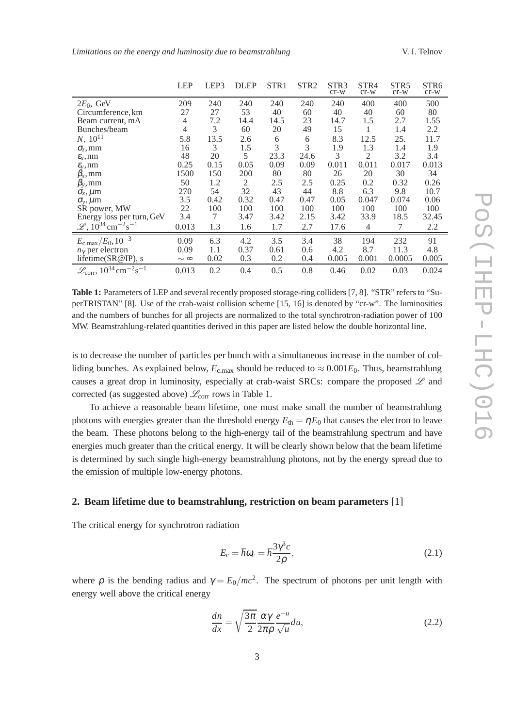| Limitations on the energy and luminosity due to beamstrahlung | V. I. Telnov |
|---------------------------------------------------------------|--------------|
|---------------------------------------------------------------|--------------|

|                                                                     | <b>LEP</b>    | LEP3 | <b>DLEP</b> | STR <sub>1</sub> | STR <sub>2</sub> | STR <sub>3</sub><br>$cr-w$ | STR4<br>$cr-w$ | STR <sub>5</sub><br>$cr-w$ | STR6<br>$cr-w$ |
|---------------------------------------------------------------------|---------------|------|-------------|------------------|------------------|----------------------------|----------------|----------------------------|----------------|
| $2E_0$ , GeV                                                        | 209           | 240  | 240         | 240              | 240              | 240                        | 400            | 400                        | 500            |
| Circumference, km                                                   | 27            | 27   | 53          | 40               | 60               | 40                         | 40             | 60                         | 80             |
| Beam current, mA                                                    | 4             | 7.2  | 14.4        | 14.5             | 23               | 14.7                       | 1.5            | 2.7                        | 1.55           |
| Bunches/beam                                                        | 4             | 3    | 60          | 20               | 49               | 15                         |                | 1.4                        | 2.2            |
| $N$ , $10^{11}$                                                     | 5.8           | 13.5 | 2.6         | 6                | 6                | 8.3                        | 12.5           | 25.                        | 11.7           |
| $\sigma_z$ , mm                                                     | 16            | 3    | 1.5         | 3                | 3                | 1.9                        | 1.3            | 1.4                        | 1.9            |
| $\mathcal{E}_x$ , nm                                                | 48            | 20   | 5           | 23.3             | 24.6             | 3                          | 2              | 3.2                        | 3.4            |
| $\mathcal{E}_v$ , nm                                                | 0.25          | 0.15 | 0.05        | 0.09             | 0.09             | 0.011                      | 0.011          | 0.017                      | 0.013          |
| $\beta_x$ , mm                                                      | 1500          | 150  | 200         | 80               | 80               | 26                         | 20             | 30                         | 34             |
| $\beta_{y}$ , mm                                                    | 50            | 1.2  | 2           | 2.5              | 2.5              | 0.25                       | 0.2            | 0.32                       | 0.26           |
| $\sigma_x, \mu$ m                                                   | 270           | 54   | 32          | 43               | 44               | 8.8                        | 6.3            | 9.8                        | 10.7           |
| $\sigma_v, \mu$ m                                                   | 3.5           | 0.42 | 0.32        | 0.47             | 0.47             | 0.05                       | 0.047          | 0.074                      | 0.06           |
| SR power, MW                                                        | 22            | 100  | 100         | 100              | 100              | 100                        | 100            | 100                        | 100            |
| Energy loss per turn, GeV                                           | 3.4           | 7    | 3.47        | 3.42             | 2.15             | 3.42                       | 33.9           | 18.5                       | 32.45          |
| $\mathscr{L}$ , $10^{34}$ cm <sup>-2</sup> s <sup>-1</sup>          | 0.013         | 1.3  | 1.6         | 1.7              | 2.7              | 17.6                       | 4              | 7                          | 2.2            |
| $E_{\rm c,max}/E_0$ , 10 <sup>-3</sup>                              | 0.09          | 6.3  | 4.2         | 3.5              | 3.4              | 38                         | 194            | 232                        | 91             |
| $n_{\gamma}$ per electron                                           | 0.09          | 1.1  | 0.37        | 0.61             | 0.6              | 4.2                        | 8.7            | 11.3                       | 4.8            |
| lifetime(SR@IP), s                                                  | $\sim \infty$ | 0.02 | 0.3         | 0.2              | 0.4              | 0.005                      | 0.001          | 0.0005                     | 0.005          |
| $\mathscr{L}_{\text{corr}}$ , $10^{34} \text{cm}^{-2}\text{s}^{-1}$ | 0.013         | 0.2  | 0.4         | 0.5              | 0.8              | 0.46                       | 0.02           | 0.03                       | 0.024          |

**Table 1:** Parameters of LEP and several recently proposed storage-ring colliders [7, 8]. "STR" refers to "SuperTRISTAN" [8]. Use of the crab-waist collision scheme [15, 16] is denoted by "cr-w". The luminosities and the numbers of bunches for all projects are normalized to the total synchrotron-radiation power of 100 MW. Beamstrahlung-related quantities derived in this paper are listed below the double horizontal line.

is to decrease the number of particles per bunch with a simultaneous increase in the number of colliding bunches. As explained below,  $E_{\text{c,max}}$  should be reduced to  $\approx 0.001E_0$ . Thus, beamstrahlung causes a great drop in luminosity, especially at crab-waist SRCs: compare the proposed  $L$  and corrected (as suggested above)  $\mathcal{L}_{\text{corr}}$  rows in Table 1.

To achieve a reasonable beam lifetime, one must make small the number of beamstrahlung photons with energies greater than the threshold energy  $E_{\text{th}} = \eta E_0$  that causes the electron to leave the beam. These photons belong to the high-energy tail of the beamstrahlung spectrum and have energies much greater than the critical energy. It will be clearly shown below that the beam lifetime is determined by such single high-energy beamstrahlung photons, not by the energy spread due to the emission of multiple low-energy photons.

## **2. Beam lifetime due to beamstrahlung, restriction on beam parameters** [1]

The critical energy for synchrotron radiation

$$
E_{\rm c} = \hbar \omega_{\rm c} = \hbar \frac{3\gamma^3 c}{2\rho},\tag{2.1}
$$

where  $\rho$  is the bending radius and  $\gamma = E_0/mc^2$ . The spectrum of photons per unit length with energy well above the critical energy

$$
\frac{dn}{dx} = \sqrt{\frac{3\pi}{2}} \frac{\alpha \gamma}{2\pi \rho} \frac{e^{-u}}{\sqrt{u}} du,
$$
\n(2.2)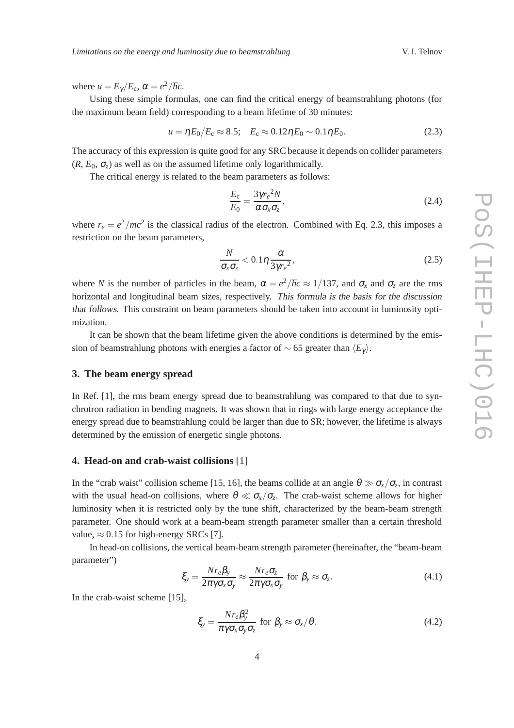where  $u = E_{\gamma}/E_{\rm c}$ ,  $\alpha = e^2/\hbar c$ .

Using these simple formulas, one can find the critical energy of beamstrahlung photons (for the maximum beam field) corresponding to a beam lifetime of 30 minutes:

$$
u = \eta E_0 / E_c \approx 8.5; \quad E_c \approx 0.12 \eta E_0 \sim 0.1 \eta E_0. \tag{2.3}
$$

The accuracy of this expression is quite good for any SRC because it depends on collider parameters  $(R, E_0, \sigma_z)$  as well as on the assumed lifetime only logarithmically.

The critical energy is related to the beam parameters as follows:

$$
\frac{E_{\rm c}}{E_0} = \frac{3\gamma r_e^2 N}{\alpha \sigma_x \sigma_z},\tag{2.4}
$$

where  $r_e = e^2/mc^2$  is the classical radius of the electron. Combined with Eq. 2.3, this imposes a restriction on the beam parameters,

$$
\frac{N}{\sigma_x \sigma_z} < 0.1 \eta \frac{\alpha}{3 \gamma r_e^2},\tag{2.5}
$$

where *N* is the number of particles in the beam,  $\alpha = e^2/\hbar c \approx 1/137$ , and  $\sigma_x$  and  $\sigma_z$  are the rms horizontal and longitudinal beam sizes, respectively. This formula is the basis for the discussion that follows. This constraint on beam parameters should be taken into account in luminosity optimization.

It can be shown that the beam lifetime given the above conditions is determined by the emission of beamstrahlung photons with energies a factor of  $\sim$  65 greater than  $\langle E_{\gamma} \rangle$ .

# **3. The beam energy spread**

In Ref. [1], the rms beam energy spread due to beamstrahlung was compared to that due to synchrotron radiation in bending magnets. It was shown that in rings with large energy acceptance the energy spread due to beamstrahlung could be larger than due to SR; however, the lifetime is always determined by the emission of energetic single photons.

## **4. Head-on and crab-waist collisions** [1]

In the "crab waist" collision scheme [15, 16], the beams collide at an angle  $\theta \gg \sigma_x/\sigma_z$ , in contrast with the usual head-on collisions, where  $\theta \ll \sigma_x/\sigma_z$ . The crab-waist scheme allows for higher luminosity when it is restricted only by the tune shift, characterized by the beam-beam strength parameter. One should work at a beam-beam strength parameter smaller than a certain threshold value,  $\approx 0.15$  for high-energy SRCs [7].

In head-on collisions, the vertical beam-beam strength parameter (hereinafter, the "beam-beam parameter")

$$
\xi_{y} = \frac{Nr_{e}\beta_{y}}{2\pi\gamma\sigma_{x}\sigma_{y}} \approx \frac{Nr_{e}\sigma_{z}}{2\pi\gamma\sigma_{x}\sigma_{y}} \text{ for } \beta_{y} \approx \sigma_{z}.
$$
\n(4.1)

In the crab-waist scheme [15],

$$
\xi_{y} = \frac{Nr_{e}\beta_{y}^{2}}{\pi\gamma\sigma_{x}\sigma_{y}\sigma_{z}} \text{ for } \beta_{y} \approx \sigma_{x}/\theta.
$$
 (4.2)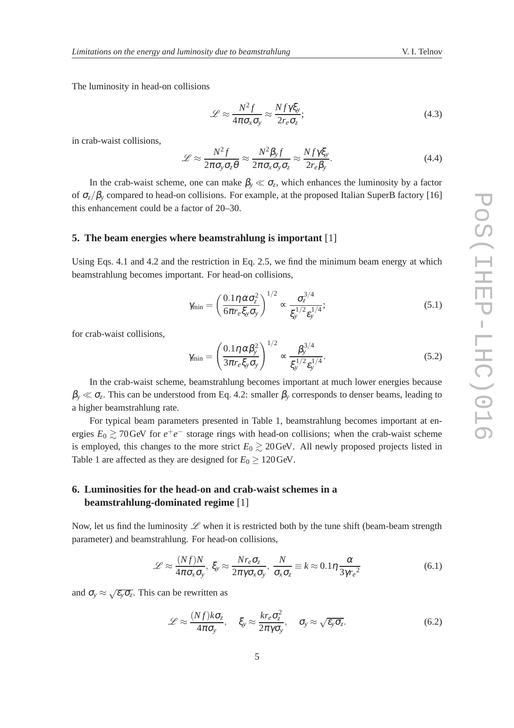The luminosity in head-on collisions

$$
\mathcal{L} \approx \frac{N^2 f}{4\pi \sigma_x \sigma_y} \approx \frac{N f \gamma \xi_y}{2r_e \sigma_z};
$$
\n(4.3)

in crab-waist collisions,

$$
\mathcal{L} \approx \frac{N^2 f}{2\pi \sigma_y \sigma_z \theta} \approx \frac{N^2 \beta_y f}{2\pi \sigma_x \sigma_y \sigma_z} \approx \frac{N f \gamma \xi_y}{2r_e \beta_y}.
$$
(4.4)

In the crab-waist scheme, one can make  $\beta_y \ll \sigma_z$ , which enhances the luminosity by a factor of  $\sigma_z/\beta_y$  compared to head-on collisions. For example, at the proposed Italian SuperB factory [16] this enhancement could be a factor of 20–30.

#### **5. The beam energies where beamstrahlung is important** [1]

Using Eqs. 4.1 and 4.2 and the restriction in Eq. 2.5, we find the minimum beam energy at which beamstrahlung becomes important. For head-on collisions,

$$
\gamma_{\min} = \left(\frac{0.1\eta \,\alpha \sigma_z^2}{6\pi r_e \xi_y \sigma_y}\right)^{1/2} \propto \frac{\sigma_z^{3/4}}{\xi_y^{1/2} \epsilon_y^{1/4}};
$$
\n(5.1)

for crab-waist collisions,

$$
\gamma_{\min} = \left(\frac{0.1\eta \alpha \beta_y^2}{3\pi r_e \xi_y \sigma_y}\right)^{1/2} \propto \frac{\beta_y^{3/4}}{\xi_y^{1/2} \epsilon_y^{1/4}}.
$$
\n(5.2)

In the crab-waist scheme, beamstrahlung becomes important at much lower energies because  $\beta_y \ll \sigma_z$ . This can be understood from Eq. 4.2: smaller  $\beta_y$  corresponds to denser beams, leading to a higher beamstrahlung rate.

For typical beam parameters presented in Table 1, beamstrahlung becomes important at energies  $E_0 \gtrsim 70$  GeV for  $e^+e^-$  storage rings with head-on collisions; when the crab-waist scheme is employed, this changes to the more strict  $E_0 \gtrsim 20 \,\text{GeV}$ . All newly proposed projects listed in Table 1 are affected as they are designed for  $E_0 \ge 120 \text{GeV}$ .

# **6. Luminosities for the head-on and crab-waist schemes in a beamstrahlung-dominated regime** [1]

Now, let us find the luminosity  $\mathscr L$  when it is restricted both by the tune shift (beam-beam strength parameter) and beamstrahlung. For head-on collisions,

$$
\mathcal{L} \approx \frac{(Nf)N}{4\pi\sigma_x\sigma_y}, \xi_y \approx \frac{Nr_e\sigma_z}{2\pi\gamma\sigma_x\sigma_y}, \frac{N}{\sigma_x\sigma_z} \equiv k \approx 0.1\eta \frac{\alpha}{3\gamma r_e^2}
$$
(6.1)

and  $\sigma_y \approx \sqrt{\varepsilon_y \sigma_z}$ . This can be rewritten as

$$
\mathcal{L} \approx \frac{(Nf)k\sigma_z}{4\pi\sigma_y}, \quad \xi_y \approx \frac{kr_e\sigma_z^2}{2\pi\gamma\sigma_y}, \quad \sigma_y \approx \sqrt{\varepsilon_y\sigma_z}.
$$
 (6.2)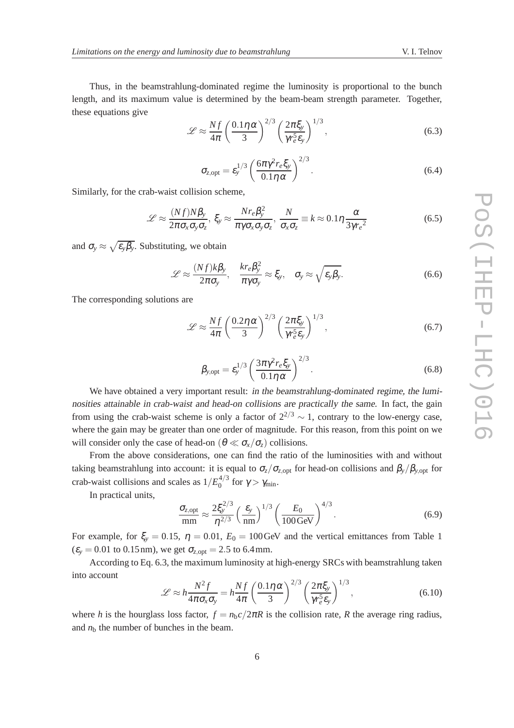Thus, in the beamstrahlung-dominated regime the luminosity is proportional to the bunch length, and its maximum value is determined by the beam-beam strength parameter. Together, these equations give

$$
\mathcal{L} \approx \frac{Nf}{4\pi} \left(\frac{0.1\eta \alpha}{3}\right)^{2/3} \left(\frac{2\pi\xi_y}{\gamma r_e^5 \epsilon_y}\right)^{1/3},\tag{6.3}
$$

$$
\sigma_{z,\text{opt}} = \varepsilon_y^{1/3} \left( \frac{6\pi \gamma^2 r_e \xi_y}{0.1 \eta \alpha} \right)^{2/3}.
$$
\n(6.4)

Similarly, for the crab-waist collision scheme,

$$
\mathcal{L} \approx \frac{(Nf)N\beta_{y}}{2\pi\sigma_{x}\sigma_{y}\sigma_{z}}, \xi_{y} \approx \frac{Nr_{e}\beta_{y}^{2}}{\pi\gamma\sigma_{x}\sigma_{y}\sigma_{z}}, \frac{N}{\sigma_{x}\sigma_{z}} \equiv k \approx 0.1\eta \frac{\alpha}{3\gamma r_{e}^{2}}
$$
(6.5)

and  $\sigma_y \approx \sqrt{\varepsilon_y \beta_y}$ . Substituting, we obtain

$$
\mathscr{L} \approx \frac{(Nf)k\beta_{y}}{2\pi\sigma_{y}}, \quad \frac{kr_{e}\beta_{y}^{2}}{\pi\gamma\sigma_{y}} \approx \xi_{y}, \quad \sigma_{y} \approx \sqrt{\varepsilon_{y}\beta_{y}}.
$$
\n(6.6)

The corresponding solutions are

$$
\mathcal{L} \approx \frac{Nf}{4\pi} \left(\frac{0.2\eta \alpha}{3}\right)^{2/3} \left(\frac{2\pi\xi_y}{\gamma r_e^5 \epsilon_y}\right)^{1/3},\tag{6.7}
$$

$$
\beta_{y,\text{opt}} = \varepsilon_y^{1/3} \left( \frac{3\pi \gamma^2 r_e \xi_y}{0.1\eta \alpha} \right)^{2/3}.
$$
\n(6.8)

We have obtained a very important result: *in the beamstrahlung-dominated regime*, *the lumi*nosities attainable in crab-waist and head-on collisions are practically the same. In fact, the gain from using the crab-waist scheme is only a factor of  $2^{2/3} \sim 1$ , contrary to the low-energy case, where the gain may be greater than one order of magnitude. For this reason, from this point on we will consider only the case of head-on ( $\theta \ll \sigma_{\rm x}/\sigma_{\rm z}$ ) collisions.

From the above considerations, one can find the ratio of the luminosities with and without taking beamstrahlung into account: it is equal to  $\sigma_z/\sigma_{z,\text{opt}}$  for head-on collisions and  $\beta_y/\beta_{y,\text{opt}}$  for crab-waist collisions and scales as  $1/E_0^{4/3}$  $\int_{0}^{4/5}$  for  $\gamma > \gamma_{\min}$ .

In practical units,

$$
\frac{\sigma_{z,\text{opt}}}{\text{mm}} \approx \frac{2\xi_y^{2/3}}{\eta^{2/3}} \left(\frac{\varepsilon_y}{\text{nm}}\right)^{1/3} \left(\frac{E_0}{100 \,\text{GeV}}\right)^{4/3}.\tag{6.9}
$$

For example, for  $\xi_y = 0.15$ ,  $\eta = 0.01$ ,  $E_0 = 100$  GeV and the vertical emittances from Table 1  $(\varepsilon_y = 0.01 \text{ to } 0.15 \text{ nm})$ , we get  $\sigma_{z, \text{opt}} = 2.5 \text{ to } 6.4 \text{ mm}$ .

According to Eq. 6.3, the maximum luminosity at high-energy SRCs with beamstrahlung taken into account

$$
\mathcal{L} \approx h \frac{N^2 f}{4\pi \sigma_x \sigma_y} = h \frac{N f}{4\pi} \left(\frac{0.1 \eta \alpha}{3}\right)^{2/3} \left(\frac{2\pi \xi_y}{\gamma r_e^5 \epsilon_y}\right)^{1/3},\tag{6.10}
$$

where *h* is the hourglass loss factor,  $f = n_b c / 2\pi R$  is the collision rate, *R* the average ring radius, and  $n<sub>b</sub>$  the number of bunches in the beam.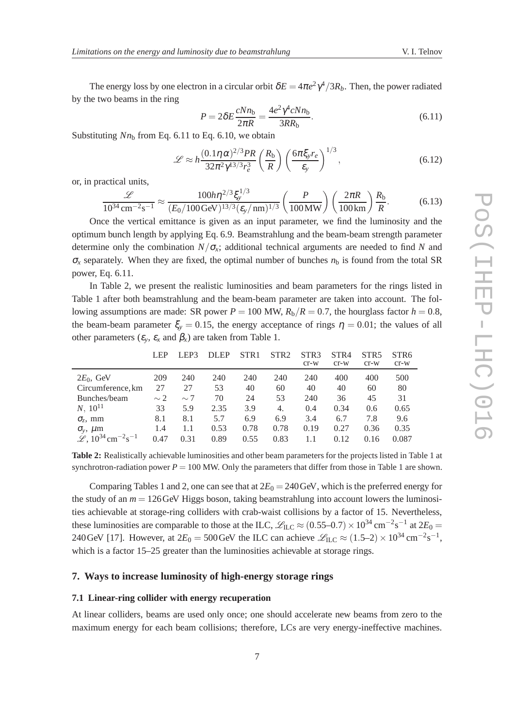The energy loss by one electron in a circular orbit  $\delta E = 4\pi e^2 \gamma^4/3R_b$ . Then, the power radiated by the two beams in the ring

$$
P = 2\delta E \frac{cNn_{\rm b}}{2\pi R} = \frac{4e^2\gamma^4 cNn_{\rm b}}{3RR_{\rm b}}.\tag{6.11}
$$

Substituting  $Nn<sub>b</sub>$  from Eq. 6.11 to Eq. 6.10, we obtain

$$
\mathcal{L} \approx h \frac{(0.1 \eta \alpha)^{2/3} PR}{32\pi^2 \gamma^{13/3} r_e^3} \left(\frac{R_b}{R}\right) \left(\frac{6\pi \xi_y r_e}{\varepsilon_y}\right)^{1/3},\tag{6.12}
$$

or, in practical units,

$$
\frac{\mathcal{L}}{10^{34} \text{ cm}^{-2} \text{s}^{-1}} \approx \frac{100 h \eta^{2/3} \xi_y^{1/3}}{(E_0/100 \text{ GeV})^{13/3} (\epsilon_y/\text{nm})^{1/3}} \left(\frac{P}{100 \text{MW}}\right) \left(\frac{2\pi R}{100 \text{km}}\right) \frac{R_b}{R}.
$$
 (6.13)

Once the vertical emittance is given as an input parameter, we find the luminosity and the optimum bunch length by applying Eq. 6.9. Beamstrahlung and the beam-beam strength parameter determine only the combination  $N/\sigma_x$ ; additional technical arguments are needed to find *N* and  $\sigma_x$  separately. When they are fixed, the optimal number of bunches  $n<sub>b</sub>$  is found from the total SR power, Eq. 6.11.

In Table 2, we present the realistic luminosities and beam parameters for the rings listed in Table 1 after both beamstrahlung and the beam-beam parameter are taken into account. The following assumptions are made: SR power  $P = 100$  MW,  $R_b/R = 0.7$ , the hourglass factor  $h = 0.8$ , the beam-beam parameter  $\xi_y = 0.15$ , the energy acceptance of rings  $\eta = 0.01$ ; the values of all other parameters  $(\varepsilon_v, \varepsilon_x$  and  $\beta_x$ ) are taken from Table 1.

|                                                                   | <b>LEP</b> | LEP3     | <b>DLEP</b> | STR <sub>1</sub> | STR <sub>2</sub> | STR <sub>3</sub><br>$cr-w$ | STR <sub>4</sub><br>$cr-w$ | STR <sub>5</sub><br>$cr-w$ | STR <sub>6</sub><br>$cr-w$ |
|-------------------------------------------------------------------|------------|----------|-------------|------------------|------------------|----------------------------|----------------------------|----------------------------|----------------------------|
| $2E_0$ , GeV                                                      | 209        | 240      | 240         | 240              | 240              | 240                        | 400                        | 400                        | 500                        |
| Circumference, km                                                 | 27         | 27       | 53          | 40               | 60               | 40                         | 40                         | 60                         | 80                         |
| Bunches/beam                                                      | $\sim$ 2   | $\sim$ 7 | 70          | 24               | 53               | 240                        | 36                         | 45                         | 31                         |
| $N$ , $10^{11}$                                                   | 33         | 5.9      | 2.35        | 3.9              | 4.               | 0.4                        | 0.34                       | 0.6                        | 0.65                       |
| $\sigma_z$ , mm                                                   | 8.1        | 8.1      | 5.7         | 6.9              | 6.9              | 3.4                        | 6.7                        | 7.8                        | 9.6                        |
| $\sigma_{v}$ , $\mu$ m                                            | 1.4        | 1.1      | 0.53        | 0.78             | 0.78             | 0.19                       | 0.27                       | 0.36                       | 0.35                       |
| $\mathscr{L}$ , 10 <sup>34</sup> cm <sup>-2</sup> s <sup>-1</sup> | 0.47       | 0.31     | 0.89        | 0.55             | 0.83             |                            | 0.12                       | 0.16                       | 0.087                      |

**Table 2:** Realistically achievable luminosities and other beam parameters for the projects listed in Table 1 at synchrotron-radiation power  $P = 100$  MW. Only the parameters that differ from those in Table 1 are shown.

Comparing Tables 1 and 2, one can see that at  $2E_0 = 240 \text{GeV}$ , which is the preferred energy for the study of an  $m = 126$  GeV Higgs boson, taking beamstrahlung into account lowers the luminosities achievable at storage-ring colliders with crab-waist collisions by a factor of 15. Nevertheless, these luminosities are comparable to those at the ILC,  $\mathcal{L}_{\text{ILC}} \approx (0.55-0.7) \times 10^{34} \text{ cm}^{-2} \text{s}^{-1}$  at  $2E_0 =$ 240 GeV [17]. However, at  $2E_0 = 500$  GeV the ILC can achieve  $\mathscr{L}_{\text{ILC}} \approx (1.5-2) \times 10^{34} \text{ cm}^{-2} \text{s}^{-1}$ , which is a factor 15–25 greater than the luminosities achievable at storage rings.

## **7. Ways to increase luminosity of high-energy storage rings**

#### **7.1 Linear-ring collider with energy recuperation**

At linear colliders, beams are used only once; one should accelerate new beams from zero to the maximum energy for each beam collisions; therefore, LCs are very energy-ineffective machines.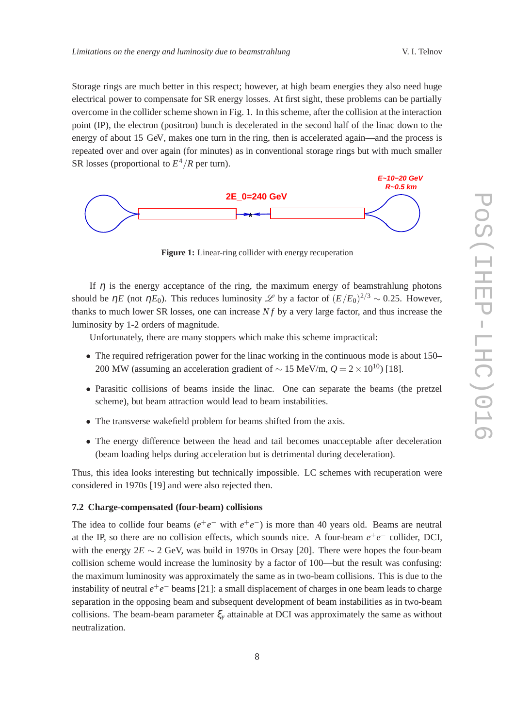Storage rings are much better in this respect; however, at high beam energies they also need huge electrical power to compensate for SR energy losses. At first sight, these problems can be partially overcome in the collider scheme shown in Fig. 1. In this scheme, after the collision at the interaction point (IP), the electron (positron) bunch is decelerated in the second half of the linac down to the energy of about 15 GeV, makes one turn in the ring, then is accelerated again—and the process is repeated over and over again (for minutes) as in conventional storage rings but with much smaller SR losses (proportional to  $E^4/R$  per turn).



**Figure 1:** Linear-ring collider with energy recuperation

If  $\eta$  is the energy acceptance of the ring, the maximum energy of beamstrahlung photons should be  $\eta E$  (not  $\eta E_0$ ). This reduces luminosity  $\mathscr L$  by a factor of  $(E/E_0)^{2/3} \sim 0.25$ . However, thanks to much lower SR losses, one can increase *N f* by a very large factor, and thus increase the luminosity by 1-2 orders of magnitude.

Unfortunately, there are many stoppers which make this scheme impractical:

- The required refrigeration power for the linac working in the continuous mode is about 150– 200 MW (assuming an acceleration gradient of <sup>∼</sup> 15 MeV/m, *<sup>Q</sup>* <sup>=</sup> <sup>2</sup>×1010) [18].
- Parasitic collisions of beams inside the linac. One can separate the beams (the pretzel scheme), but beam attraction would lead to beam instabilities.
- The transverse wakefield problem for beams shifted from the axis.
- The energy difference between the head and tail becomes unacceptable after deceleration (beam loading helps during acceleration but is detrimental during deceleration).

Thus, this idea looks interesting but technically impossible. LC schemes with recuperation were considered in 1970s [19] and were also rejected then.

#### **7.2 Charge-compensated (four-beam) collisions**

The idea to collide four beams  $(e^+e^-$  with  $e^+e^-$ ) is more than 40 years old. Beams are neutral at the IP, so there are no collision effects, which sounds nice. A four-beam  $e^+e^-$  collider, DCI, with the energy 2*E* ∼ 2 GeV, was build in 1970s in Orsay [20]. There were hopes the four-beam collision scheme would increase the luminosity by a factor of 100—but the result was confusing: the maximum luminosity was approximately the same as in two-beam collisions. This is due to the instability of neutral  $e^+e^-$  beams [21]: a small displacement of charges in one beam leads to charge separation in the opposing beam and subsequent development of beam instabilities as in two-beam collisions. The beam-beam parameter  $\xi$ <sup>*y*</sup> attainable at DCI was approximately the same as without neutralization.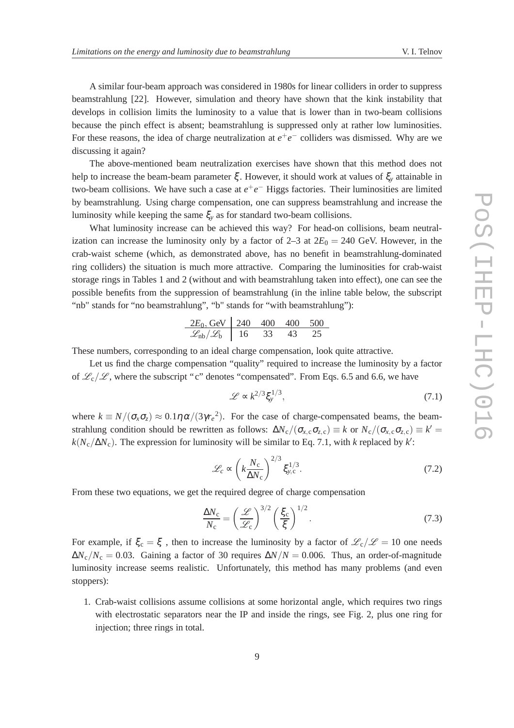A similar four-beam approach was considered in 1980s for linear colliders in order to suppress beamstrahlung [22]. However, simulation and theory have shown that the kink instability that develops in collision limits the luminosity to a value that is lower than in two-beam collisions because the pinch effect is absent; beamstrahlung is suppressed only at rather low luminosities. For these reasons, the idea of charge neutralization at  $e^+e^-$  colliders was dismissed. Why are we discussing it again?

The above-mentioned beam neutralization exercises have shown that this method does not help to increase the beam-beam parameter ξ . However, it should work at values of ξ*<sup>y</sup>* attainable in two-beam collisions. We have such a case at  $e^+e^-$  Higgs factories. Their luminosities are limited by beamstrahlung. Using charge compensation, one can suppress beamstrahlung and increase the luminosity while keeping the same  $\xi_y$  as for standard two-beam collisions.

What luminosity increase can be achieved this way? For head-on collisions, beam neutralization can increase the luminosity only by a factor of  $2-3$  at  $2E_0 = 240$  GeV. However, in the crab-waist scheme (which, as demonstrated above, has no benefit in beamstrahlung-dominated ring colliders) the situation is much more attractive. Comparing the luminosities for crab-waist storage rings in Tables 1 and 2 (without and with beamstrahlung taken into effect), one can see the possible benefits from the suppression of beamstrahlung (in the inline table below, the subscript "nb" stands for "no beamstrahlung", "b" stands for "with beamstrahlung"):

$$
\begin{array}{c|ccccc}\n 2E_0, \text{GeV} & 240 & 400 & 400 & 500 \\
\hline\n \mathcal{L}_{\text{nb}}/\mathcal{L}_{\text{b}} & 16 & 33 & 43 & 25\n \end{array}
$$

These numbers, corresponding to an ideal charge compensation, look quite attractive.

Let us find the charge compensation "quality" required to increase the luminosity by a factor of  $\mathcal{L}_c/\mathcal{L}$ , where the subscript "c" denotes "compensated". From Eqs. 6.5 and 6.6, we have

$$
\mathcal{L} \propto k^{2/3} \xi_y^{1/3},\tag{7.1}
$$

where  $k \equiv N/(\sigma_x \sigma_z) \approx 0.1 \eta \alpha/(3 \gamma r_e^2)$ . For the case of charge-compensated beams, the beamstrahlung condition should be rewritten as follows:  $\Delta N_c/(\sigma_{x,c}\sigma_{z,c}) \equiv k$  or  $N_c/(\sigma_{x,c}\sigma_{z,c}) \equiv k' =$  $k(N_c/\Delta N_c)$ . The expression for luminosity will be similar to Eq. 7.1, with *k* replaced by *k*':

$$
\mathcal{L}_c \propto \left(k \frac{N_c}{\Delta N_c}\right)^{2/3} \xi_{y,c}^{1/3}.
$$
 (7.2)

From these two equations, we get the required degree of charge compensation

$$
\frac{\Delta N_{\rm c}}{N_{\rm c}} = \left(\frac{\mathcal{L}}{\mathcal{L}_{\rm c}}\right)^{3/2} \left(\frac{\xi_{\rm c}}{\xi}\right)^{1/2}.\tag{7.3}
$$

For example, if  $\xi_c = \xi$ , then to increase the luminosity by a factor of  $\mathcal{L}_c/\mathcal{L} = 10$  one needs  $\Delta N_c/N_c = 0.03$ . Gaining a factor of 30 requires  $\Delta N/N = 0.006$ . Thus, an order-of-magnitude luminosity increase seems realistic. Unfortunately, this method has many problems (and even stoppers):

1. Crab-waist collisions assume collisions at some horizontal angle, which requires two rings with electrostatic separators near the IP and inside the rings, see Fig. 2, plus one ring for injection; three rings in total.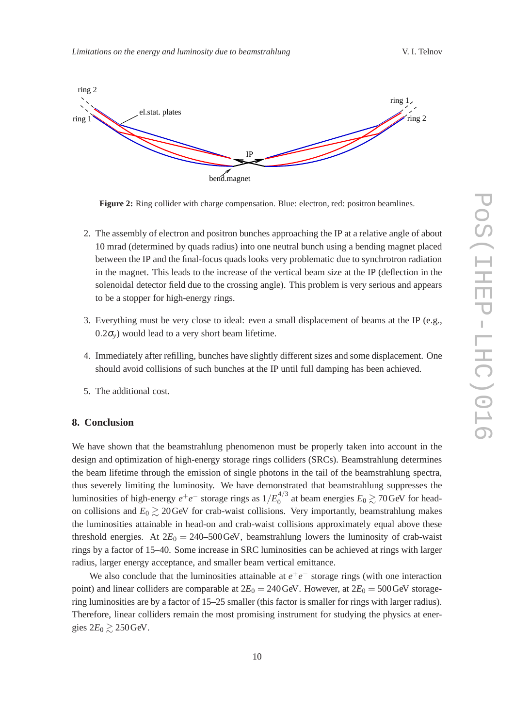

**Figure 2:** Ring collider with charge compensation. Blue: electron, red: positron beamlines.

- 2. The assembly of electron and positron bunches approaching the IP at a relative angle of about 10 mrad (determined by quads radius) into one neutral bunch using a bending magnet placed between the IP and the final-focus quads looks very problematic due to synchrotron radiation in the magnet. This leads to the increase of the vertical beam size at the IP (deflection in the solenoidal detector field due to the crossing angle). This problem is very serious and appears to be a stopper for high-energy rings.
- 3. Everything must be very close to ideal: even a small displacement of beams at the IP (e.g.,  $(0.2\sigma_v)$  would lead to a very short beam lifetime.
- 4. Immediately after refilling, bunches have slightly different sizes and some displacement. One should avoid collisions of such bunches at the IP until full damping has been achieved.
- 5. The additional cost.

## **8. Conclusion**

We have shown that the beamstrahlung phenomenon must be properly taken into account in the design and optimization of high-energy storage rings colliders (SRCs). Beamstrahlung determines the beam lifetime through the emission of single photons in the tail of the beamstrahlung spectra, thus severely limiting the luminosity. We have demonstrated that beamstrahlung suppresses the luminosities of high-energy  $e^+e^-$  storage rings as  $1/E_0^{4/3}$  $_{0}^{4/5}$  at beam energies  $E_0 \gtrsim 70$  GeV for headon collisions and  $E_0 \ge 20$  GeV for crab-waist collisions. Very importantly, beamstrahlung makes the luminosities attainable in head-on and crab-waist collisions approximately equal above these threshold energies. At  $2E_0 = 240-500 \,\text{GeV}$ , beamstrahlung lowers the luminosity of crab-waist rings by a factor of 15–40. Some increase in SRC luminosities can be achieved at rings with larger radius, larger energy acceptance, and smaller beam vertical emittance.

We also conclude that the luminosities attainable at  $e^+e^-$  storage rings (with one interaction point) and linear colliders are comparable at  $2E_0 = 240$  GeV. However, at  $2E_0 = 500$  GeV storagering luminosities are by a factor of 15–25 smaller (this factor is smaller for rings with larger radius). Therefore, linear colliders remain the most promising instrument for studying the physics at energies  $2E_0 \gtrsim 250$  GeV.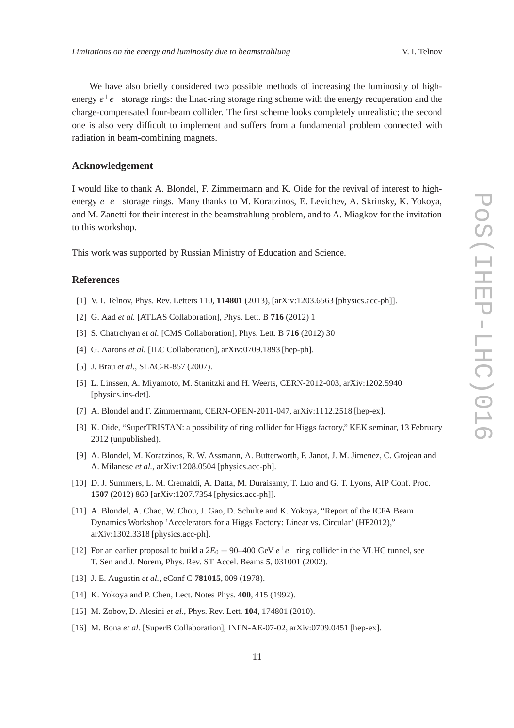We have also briefly considered two possible methods of increasing the luminosity of highenergy  $e^+e^-$  storage rings: the linac-ring storage ring scheme with the energy recuperation and the charge-compensated four-beam collider. The first scheme looks completely unrealistic; the second one is also very difficult to implement and suffers from a fundamental problem connected with radiation in beam-combining magnets.

# **Acknowledgement**

I would like to thank A. Blondel, F. Zimmermann and K. Oide for the revival of interest to highenergy  $e^+e^-$  storage rings. Many thanks to M. Koratzinos, E. Levichev, A. Skrinsky, K. Yokoya, and M. Zanetti for their interest in the beamstrahlung problem, and to A. Miagkov for the invitation to this workshop.

This work was supported by Russian Ministry of Education and Science.

# **References**

- [1] V. I. Telnov, Phys. Rev. Letters 110, **114801** (2013), [arXiv:1203.6563 [physics.acc-ph]].
- [2] G. Aad *et al.* [ATLAS Collaboration], Phys. Lett. B **716** (2012) 1
- [3] S. Chatrchyan *et al.* [CMS Collaboration], Phys. Lett. B **716** (2012) 30
- [4] G. Aarons *et al.* [ILC Collaboration], arXiv:0709.1893 [hep-ph].
- [5] J. Brau *et al.*, SLAC-R-857 (2007).
- [6] L. Linssen, A. Miyamoto, M. Stanitzki and H. Weerts, CERN-2012-003, arXiv:1202.5940 [physics.ins-det].
- [7] A. Blondel and F. Zimmermann, CERN-OPEN-2011-047, arXiv:1112.2518 [hep-ex].
- [8] K. Oide, "SuperTRISTAN: a possibility of ring collider for Higgs factory," KEK seminar, 13 February 2012 (unpublished).
- [9] A. Blondel, M. Koratzinos, R. W. Assmann, A. Butterworth, P. Janot, J. M. Jimenez, C. Grojean and A. Milanese *et al.*, arXiv:1208.0504 [physics.acc-ph].
- [10] D. J. Summers, L. M. Cremaldi, A. Datta, M. Duraisamy, T. Luo and G. T. Lyons, AIP Conf. Proc. **1507** (2012) 860 [arXiv:1207.7354 [physics.acc-ph]].
- [11] A. Blondel, A. Chao, W. Chou, J. Gao, D. Schulte and K. Yokoya, "Report of the ICFA Beam Dynamics Workshop 'Accelerators for a Higgs Factory: Linear vs. Circular' (HF2012)," arXiv:1302.3318 [physics.acc-ph].
- [12] For an earlier proposal to build a  $2E_0 = 90-400$  GeV  $e^+e^-$  ring collider in the VLHC tunnel, see T. Sen and J. Norem, Phys. Rev. ST Accel. Beams **5**, 031001 (2002).
- [13] J. E. Augustin *et al.*, eConf C **781015**, 009 (1978).
- [14] K. Yokoya and P. Chen, Lect. Notes Phys. **400**, 415 (1992).
- [15] M. Zobov, D. Alesini *et al.*, Phys. Rev. Lett. **104**, 174801 (2010).
- [16] M. Bona *et al.* [SuperB Collaboration], INFN-AE-07-02, arXiv:0709.0451 [hep-ex].